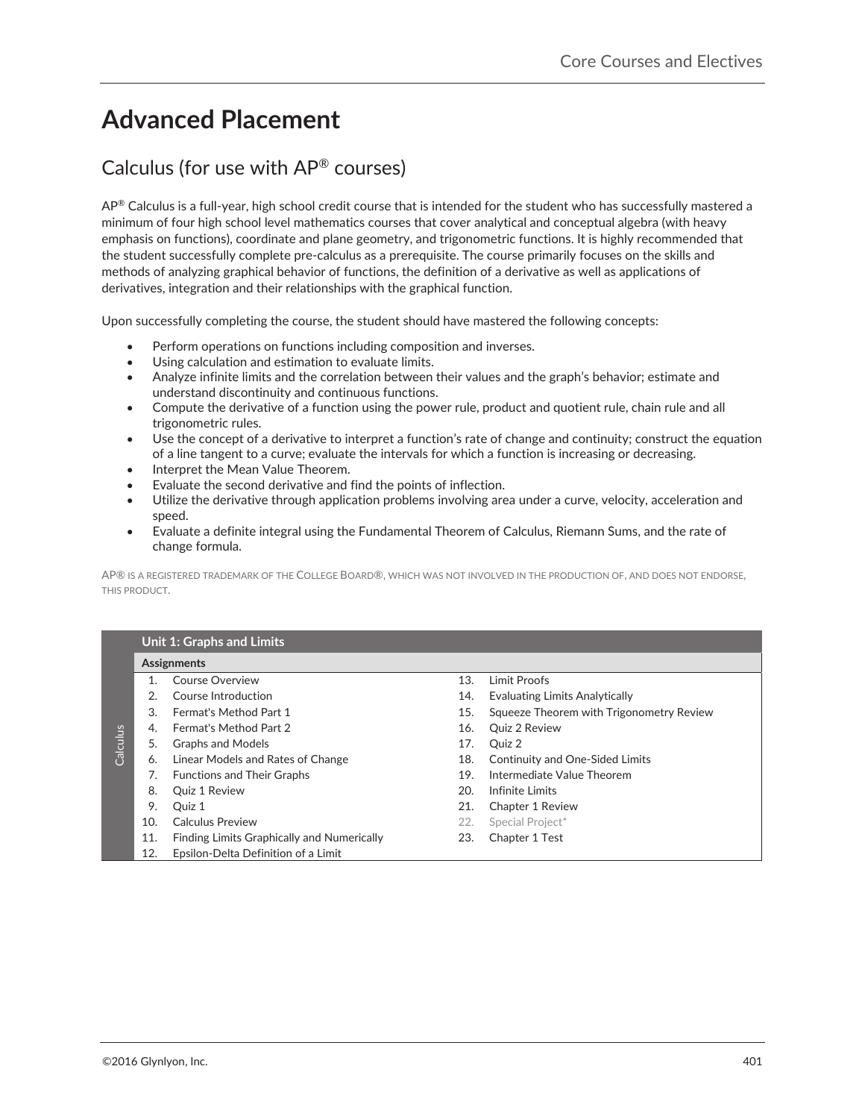# **Advanced Placement**

## Calculus (for use with AP® courses)

 $AP^{\circledast}$  Calculus is a full-year, high school credit course that is intended for the student who has successfully mastered a minimum of four high school level mathematics courses that cover analytical and conceptual algebra (with heavy emphasis on functions), coordinate and plane geometry, and trigonometric functions. It is highly recommended that the student successfully complete pre-calculus as a prerequisite. The course primarily focuses on the skills and methods of analyzing graphical behavior of functions, the definition of a derivative as well as applications of derivatives, integration and their relationships with the graphical function.

Upon successfully completing the course, the student should have mastered the following concepts:

- Perform operations on functions including composition and inverses.
- Using calculation and estimation to evaluate limits.
- Analyze infinite limits and the correlation between their values and the graph's behavior; estimate and understand discontinuity and continuous functions.
- Compute the derivative of a function using the power rule, product and quotient rule, chain rule and all trigonometric rules.
- $\bullet$  Use the concept of a derivative to interpret a function's rate of change and continuity; construct the equation of a line tangent to a curve; evaluate the intervals for which a function is increasing or decreasing.
- Interpret the Mean Value Theorem.
- Evaluate the second derivative and find the points of inflection.
- Utilize the derivative through application problems involving area under a curve, velocity, acceleration and speed.
- Evaluate a definite integral using the Fundamental Theorem of Calculus, Riemann Sums, and the rate of change formula.

AP® IS A REGISTERED TRADEMARK OF THE COLLEGE BOARD®, WHICH WAS NOT INVOLVED IN THE PRODUCTION OF, AND DOES NOT ENDORSE, THIS PRODUCT.

|          | <b>Unit 1: Graphs and Limits</b> |                                            |     |                                          |  |  |
|----------|----------------------------------|--------------------------------------------|-----|------------------------------------------|--|--|
|          | Assignments                      |                                            |     |                                          |  |  |
| Calculus |                                  | Course Overview                            | 13. | Limit Proofs                             |  |  |
|          | 2.                               | Course Introduction                        | 14. | <b>Evaluating Limits Analytically</b>    |  |  |
|          | 3.                               | <b>Fermat's Method Part 1</b>              | 15. | Squeeze Theorem with Trigonometry Review |  |  |
|          | 4.                               | <b>Fermat's Method Part 2</b>              | 16. | <b>Ouiz 2 Review</b>                     |  |  |
|          | 5.                               | <b>Graphs and Models</b>                   | 17. | Ouiz 2                                   |  |  |
|          | 6.                               | Linear Models and Rates of Change          | 18. | Continuity and One-Sided Limits          |  |  |
|          | 7.                               | <b>Functions and Their Graphs</b>          | 19. | Intermediate Value Theorem               |  |  |
|          | 8.                               | <b>Quiz 1 Review</b>                       | 20. | Infinite Limits                          |  |  |
|          | 9.                               | Ouiz 1                                     | 21. | Chapter 1 Review                         |  |  |
|          | 10.                              | Calculus Preview                           | 22. | Special Project*                         |  |  |
|          | 11.                              | Finding Limits Graphically and Numerically | 23. | Chapter 1 Test                           |  |  |
|          | 12.                              | Epsilon-Delta Definition of a Limit        |     |                                          |  |  |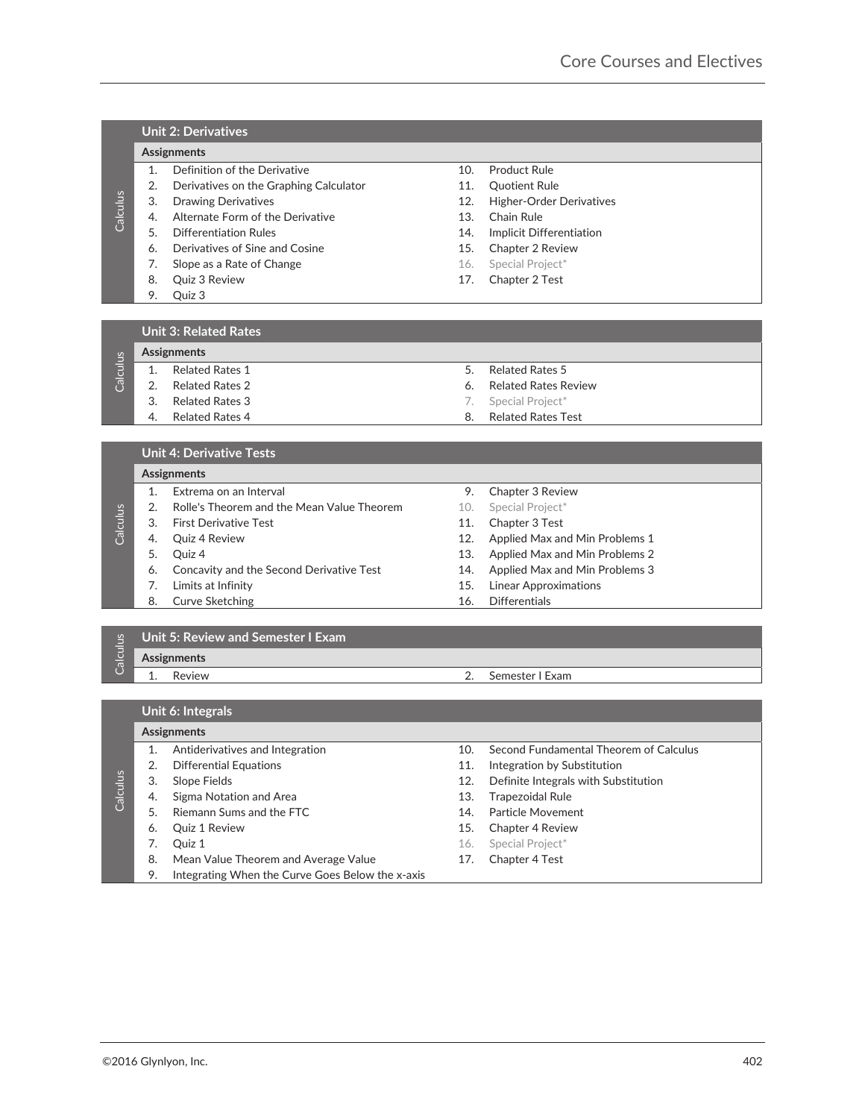### **Unit 2: Derivatives**

### **Assignments-**

- 1. Definition of the Derivative 10. Product Rule
- 2. Derivatives on the Graphing Calculator **11.** Quotient Rule
- 
- 4. Alternate Form of the Derivative 13. Chain Rule
- 
- 6. Derivatives of Sine and Cosine 15. Chapter 2 Review
- 7. Slope as a Rate of Change **16. Special Project**\*
- 
- 9. Quiz 3
- 
- 
- 3. Drawing Derivatives 12. Higher-Order Derivatives
	-
- 5. Differentiation Rules 14. Implicit Differentiation
	-
	-
- 8. Quiz 3 Review 17. Chapter 2 Test

### **Unit 3: Related Rates**

# $\frac{3}{5}$  A Denomination Relation Relation 12 Illino Concernsion Concernsion Calculus Concernsion Relation Relation Relation Relation Relation Relation Relation Relation Relation Relation Relation Relation Relation Relati **Calculus Assignments-**1. Related Rates 1 5. Related Rates 5 2. Related Rates 2 6. Related Rates Review **3. Related Rates 3 7. Special Project\*** 4. Related Rates 4 8. Related Rates Test

### **Unit 4: Derivative Tests**

### **Assignments-**

- 1. Extrema on an Interval **Extrema on an Interval 1.** Chapter 3 Review
- 2. Rolle's Theorem and the Mean Value Theorem 10. Special Project\*
- 3. First Derivative Test 11. Chapter 3 Test
- 4. Quiz 4 Review 12. Applied Max and Min Problems 1
- 
- 6. Concavity and the Second Derivative Test 14. Applied Max and Min Problems 3
- 7. Limits at Infinity 15. Linear Approximations
- 8. Curve Sketching and the state of the 16. Differentials
- 
- 
- 
- 5. Quiz 4 13. Applied Max and Min Problems 2
	-
	-
	-

### **Unit 5: Review and Semester I Exam**

**Calculus** 

**Calculus** 

**Assignments-**

1. Review 2. Semester I Exam

### **Unit 6: Integrals**

### **Assignments-**

- 1. Antiderivatives and Integration 10. Second Fundamental Theorem of Calculus
- 
- 
- **Calculus** 4. Sigma Notation and Area 13. Trapezoidal Rule
	- 5. Riemann Sums and the FTC 14. Particle Movement
	-
	-
	- 8. Mean Value Theorem and Average Value 17. Chapter 4 Test
	- 9. Integrating When the Curve Goes Below the x-axis-
- 
- 
- 
- 2. Differential Equations 11. Integration by Substitution
- 3. Slope Fields 12. Definite Integrals with Substitution
	-
	-
- 6. Quiz 1 Review 15. Chapter 4 Review
- **7.** Quiz 1 **16.** Special Project<sup>\*</sup>
	-